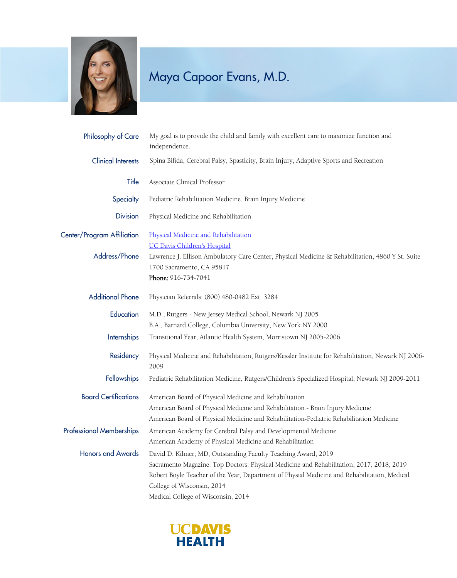

## Maya Capoor Evans, M.D.

| Philosophy of Care              | My goal is to provide the child and family with excellent care to maximize function and<br>independence.                                                                   |
|---------------------------------|----------------------------------------------------------------------------------------------------------------------------------------------------------------------------|
| <b>Clinical Interests</b>       | Spina Bifida, Cerebral Palsy, Spasticity, Brain Injury, Adaptive Sports and Recreation                                                                                     |
| Title                           | Associate Clinical Professor                                                                                                                                               |
| Specialty                       | Pediatric Rehabilitation Medicine, Brain Injury Medicine                                                                                                                   |
| <b>Division</b>                 | Physical Medicine and Rehabilitation                                                                                                                                       |
| Center/Program Affiliation      | Physical Medicine and Rehabilitation<br><b>UC Davis Children's Hospital</b>                                                                                                |
| Address/Phone                   | Lawrence J. Ellison Ambulatory Care Center, Physical Medicine & Rehabilitation, 4860 Y St. Suite<br>1700 Sacramento, CA 95817<br>Phone: 916-734-7041                       |
| <b>Additional Phone</b>         | Physician Referrals: (800) 480-0482 Ext. 3284                                                                                                                              |
| Education                       | M.D., Rutgers - New Jersey Medical School, Newark NJ 2005                                                                                                                  |
|                                 | B.A., Barnard College, Columbia University, New York NY 2000                                                                                                               |
| Internships                     | Transitional Year, Atlantic Health System, Morristown NJ 2005-2006                                                                                                         |
| Residency                       | Physical Medicine and Rehabilitation, Rutgers/Kessler Institute for Rehabilitation, Newark NJ 2006-<br>2009                                                                |
| Fellowships                     | Pediatric Rehabilitation Medicine, Rutgers/Children's Specialized Hospital, Newark NJ 2009-2011                                                                            |
| <b>Board Certifications</b>     | American Board of Physical Medicine and Rehabilitation                                                                                                                     |
|                                 | American Board of Physical Medicine and Rehabilitation - Brain Injury Medicine<br>American Board of Physical Medicine and Rehabilitation-Pediatric Rehabilitation Medicine |
| <b>Professional Memberships</b> | American Academy for Cerebral Palsy and Developmental Medicine                                                                                                             |
|                                 | American Academy of Physical Medicine and Rehabilitation                                                                                                                   |
| <b>Honors and Awards</b>        | David D. Kilmer, MD, Outstanding Faculty Teaching Award, 2019                                                                                                              |
|                                 | Sacramento Magazine: Top Doctors: Physical Medicine and Rehabilitation, 2017, 2018, 2019                                                                                   |
|                                 | Robert Boyle Teacher of the Year, Department of Physial Medicine and Rehabilitation, Medical                                                                               |
|                                 | College of Wisconsin, 2014                                                                                                                                                 |
|                                 | Medical College of Wisconsin, 2014                                                                                                                                         |